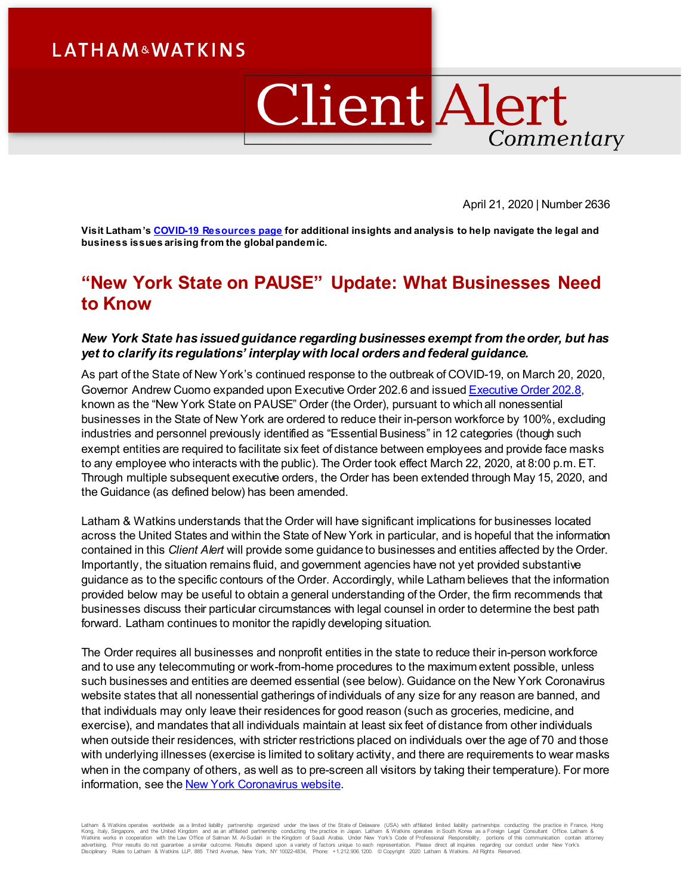# **LATHAM&WATKINS**

# ClientAlert Commentary

April 21, 2020 | Number 2636

**Visit Latham'[s COVID-19 Resources page](https://www.lw.com/covid-19) for additional insights and analysis to help navigate the legal and business issues arising from the global pandemic.**

# **"New York State on PAUSE" Update: What Businesses Need to Know**

### *New York State has issued guidance regarding businesses exempt from the order, but has yet to clarify its regulations' interplay with local orders and federal guidance.*

As part of the State of New York's continued response to the outbreak of COVID-19, on March 20, 2020, Governor Andrew Cuomo expanded upon Executive Order 202.6 and issue[d Executive Order 202.8,](http://nycourts.gov/whatsnew/pdf/EO-202.8-ocr.pdf) known as the "New York State on PAUSE" Order (the Order), pursuant to which all nonessential businesses in the State of New York are ordered to reduce their in-person workforce by 100%, excluding industries and personnel previously identified as "Essential Business" in 12 categories (though such exempt entities are required to facilitate six feet of distance between employees and provide face masks to any employee who interacts with the public). The Order took effect March 22, 2020, at 8:00 p.m. ET. Through multiple subsequent executive orders, the Order has been extended through May 15, 2020, and the Guidance (as defined below) has been amended.

Latham & Watkins understands that the Order will have significant implications for businesses located across the United States and within the State of New York in particular, and is hopeful that the information contained in this *Client Alert* will provide some guidance to businesses and entities affected by the Order. Importantly, the situation remains fluid, and government agencies have not yet provided substantive guidance as to the specific contours of the Order. Accordingly, while Latham believes that the information provided below may be useful to obtain a general understanding of the Order, the firm recommends that businesses discuss their particular circumstances with legal counsel in order to determine the best path forward. Latham continues to monitor the rapidly developing situation.

The Order requires all businesses and nonprofit entities in the state to reduce their in-person workforce and to use any telecommuting or work-from-home procedures to the maximum extent possible, unless such businesses and entities are deemed essential (see below). Guidance on the New York Coronavirus website states that all nonessential gatherings of individuals of any size for any reason are banned, and that individuals may only leave their residences for good reason (such as groceries, medicine, and exercise), and mandates that all individuals maintain at least six feet of distance from other individuals when outside their residences, with stricter restrictions placed on individuals over the age of 70 and those with underlying illnesses (exercise is limited to solitary activity, and there are requirements to wear masks when in the company of others, as well as to pre-screen all visitors by taking their temperature). For more information, see th[e New York Coronavirus website.](https://coronavirus.health.ny.gov/home)

Latham & Watkins operates worldwide as a limited lability partnership organized under the laws of the State of Delaware (USA) with affiliated limited limitiated limited itselfs of the State of Delaware (USA) with affiliate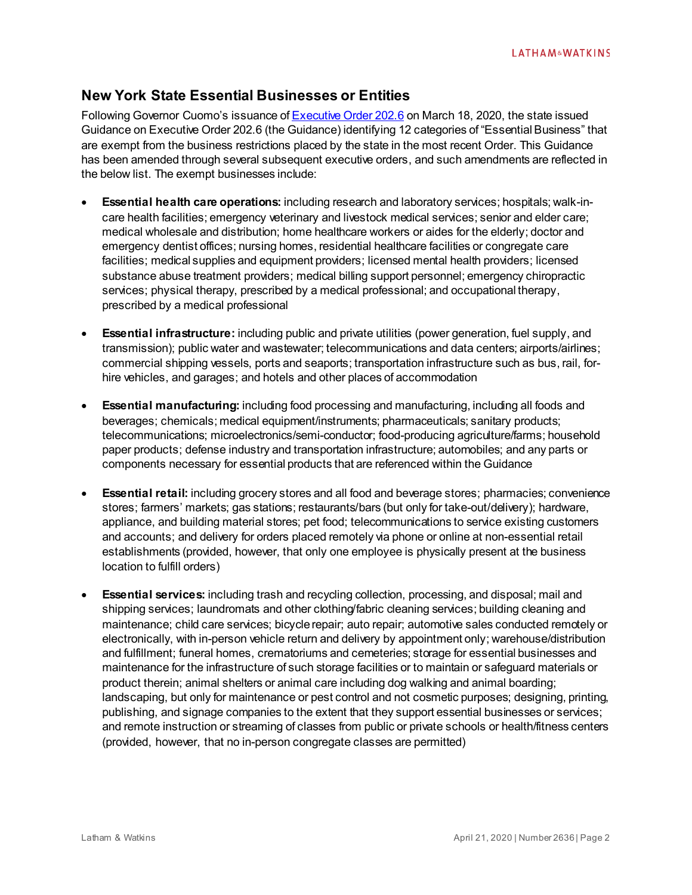# **New York State Essential Businesses or Entities**

Following Governor Cuomo's issuance o[f Executive Order 202.6](https://www.governor.ny.gov/news/no-2026-continuing-temporary-suspension-and-modification-laws-relating-disaster-emergency) on March 18, 2020, the state issued Guidance on Executive Order 202.6 (the Guidance) identifying 12 categories of "Essential Business" that are exempt from the business restrictions placed by the state in the most recent Order. This Guidance has been amended through several subsequent executive orders, and such amendments are reflected in the below list. The exempt businesses include:

- **Essential health care operations:** including research and laboratory services; hospitals; walk-incare health facilities; emergency veterinary and livestock medical services; senior and elder care; medical wholesale and distribution; home healthcare workers or aides for the elderly; doctor and emergency dentist offices; nursing homes, residential healthcare facilities or congregate care facilities; medical supplies and equipment providers; licensed mental health providers; licensed substance abuse treatment providers; medical billing support personnel; emergency chiropractic services; physical therapy, prescribed by a medical professional; and occupational therapy, prescribed by a medical professional
- **Essential infrastructure:** including public and private utilities (power generation, fuel supply, and transmission); public water and wastewater; telecommunications and data centers; airports/airlines; commercial shipping vessels, ports and seaports; transportation infrastructure such as bus, rail, forhire vehicles, and garages; and hotels and other places of accommodation
- **Essential manufacturing:** including food processing and manufacturing, including all foods and beverages; chemicals; medical equipment/instruments; pharmaceuticals; sanitary products; telecommunications; microelectronics/semi-conductor; food-producing agriculture/farms; household paper products; defense industry and transportation infrastructure; automobiles; and any parts or components necessary for essential products that are referenced within the Guidance
- **Essential retail:** including grocery stores and all food and beverage stores; pharmacies; convenience stores; farmers' markets; gas stations; restaurants/bars (but only for take-out/delivery); hardware, appliance, and building material stores; pet food; telecommunications to service existing customers and accounts; and delivery for orders placed remotely via phone or online at non-essential retail establishments (provided, however, that only one employee is physically present at the business location to fulfill orders)
- **Essential services:** including trash and recycling collection, processing, and disposal; mail and shipping services; laundromats and other clothing/fabric cleaning services; building cleaning and maintenance; child care services; bicycle repair; auto repair; automotive sales conducted remotely or electronically, with in-person vehicle return and delivery by appointment only; warehouse/distribution and fulfillment; funeral homes, crematoriums and cemeteries; storage for essential businesses and maintenance for the infrastructure of such storage facilities or to maintain or safeguard materials or product therein; animal shelters or animal care including dog walking and animal boarding; landscaping, but only for maintenance or pest control and not cosmetic purposes; designing, printing, publishing, and signage companies to the extent that they support essential businesses or services; and remote instruction or streaming of classes from public or private schools or health/fitness centers (provided, however, that no in-person congregate classes are permitted)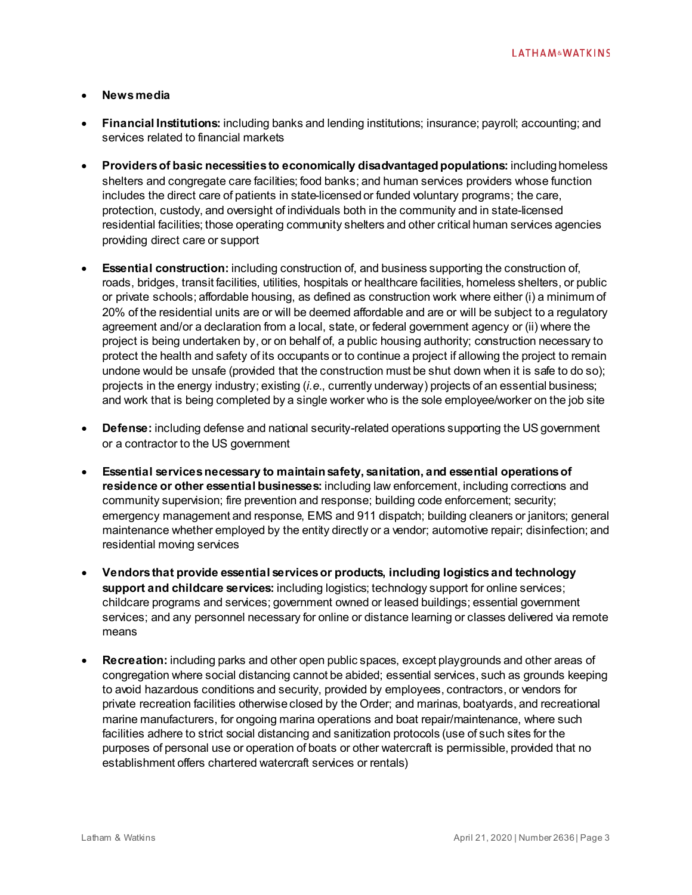#### • **News media**

- **Financial Institutions:** including banks and lending institutions; insurance; payroll; accounting; and services related to financial markets
- **Providers of basic necessities to economically disadvantaged populations:** including homeless shelters and congregate care facilities; food banks; and human services providers whose function includes the direct care of patients in state-licensed or funded voluntary programs; the care, protection, custody, and oversight of individuals both in the community and in state-licensed residential facilities; those operating community shelters and other critical human services agencies providing direct care or support
- **Essential construction:** including construction of, and business supporting the construction of, roads, bridges, transit facilities, utilities, hospitals or healthcare facilities, homeless shelters, or public or private schools; affordable housing, as defined as construction work where either (i) a minimum of 20% of the residential units are or will be deemed affordable and are or will be subject to a regulatory agreement and/or a declaration from a local, state, or federal government agency or (ii) where the project is being undertaken by, or on behalf of, a public housing authority; construction necessary to protect the health and safety of its occupants or to continue a project if allowing the project to remain undone would be unsafe (provided that the construction must be shut down when it is safe to do so); projects in the energy industry; existing (*i.e.*, currently underway) projects of an essential business; and work that is being completed by a single worker who is the sole employee/worker on the job site
- **Defense:** including defense and national security-related operations supporting the US government or a contractor to the US government
- **Essential services necessary to maintain safety, sanitation, and essential operations of residence or other essential businesses:** including law enforcement, including corrections and community supervision; fire prevention and response; building code enforcement; security; emergency management and response, EMS and 911 dispatch; building cleaners or janitors; general maintenance whether employed by the entity directly or a vendor; automotive repair; disinfection; and residential moving services
- **Vendors that provide essential services or products, including logistics and technology support and childcare services:** including logistics; technology support for online services; childcare programs and services; government owned or leased buildings; essential government services; and any personnel necessary for online or distance learning or classes delivered via remote means
- **Recreation:** including parks and other open public spaces, except playgrounds and other areas of congregation where social distancing cannot be abided; essential services, such as grounds keeping to avoid hazardous conditions and security, provided by employees, contractors, or vendors for private recreation facilities otherwise closed by the Order; and marinas, boatyards, and recreational marine manufacturers, for ongoing marina operations and boat repair/maintenance, where such facilities adhere to strict social distancing and sanitization protocols (use of such sites for the purposes of personal use or operation of boats or other watercraft is permissible, provided that no establishment offers chartered watercraft services or rentals)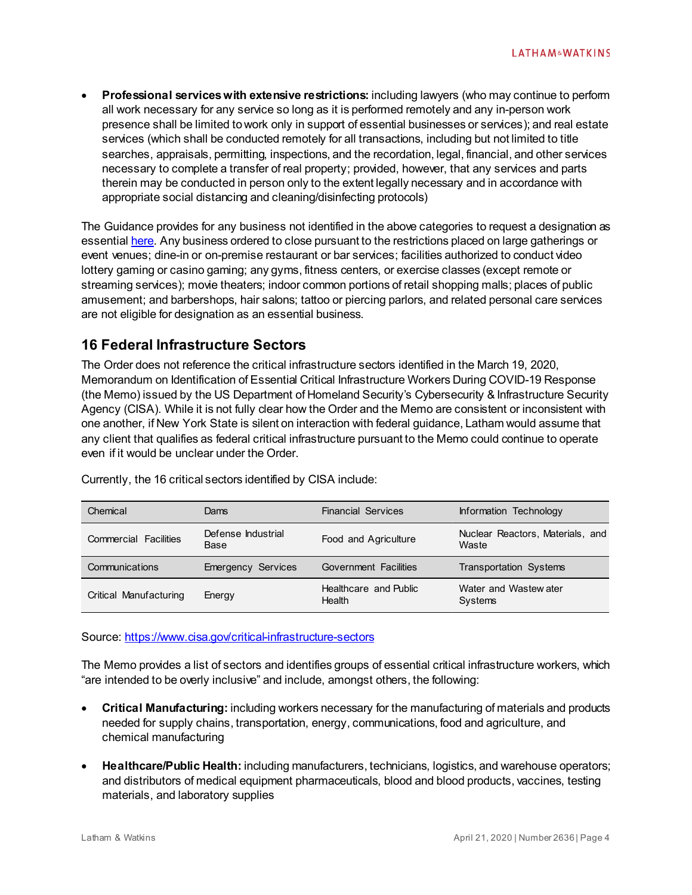• **Professional services with extensive restrictions:** including lawyers (who may continue to perform all work necessary for any service so long as it is performed remotely and any in-person work presence shall be limited to work only in support of essential businesses or services); and real estate services (which shall be conducted remotely for all transactions, including but not limited to title searches, appraisals, permitting, inspections, and the recordation, legal, financial, and other services necessary to complete a transfer of real property; provided, however, that any services and parts therein may be conducted in person only to the extent legally necessary and in accordance with appropriate social distancing and cleaning/disinfecting protocols)

The Guidance provides for any business not identified in the above categories to request a designation as essentia[l here.](https://esd.ny.gov/sites/default/files/Request%20for%20Designation%20Form_0.pdf) Any business ordered to close pursuant to the restrictions placed on large gatherings or event venues; dine-in or on-premise restaurant or bar services; facilities authorized to conduct video lottery gaming or casino gaming; any gyms, fitness centers, or exercise classes (except remote or streaming services); movie theaters; indoor common portions of retail shopping malls; places of public amusement; and barbershops, hair salons; tattoo or piercing parlors, and related personal care services are not eligible for designation as an essential business.

# **16 Federal Infrastructure Sectors**

The Order does not reference the critical infrastructure sectors identified in the March 19, 2020, Memorandum on Identification of Essential Critical Infrastructure Workers During COVID-19 Response (the Memo) issued by the US Department of Homeland Security's Cybersecurity & Infrastructure Security Agency (CISA). While it is not fully clear how the Order and the Memo are consistent or inconsistent with one another, if New York State is silent on interaction with federal guidance, Latham would assume that any client that qualifies as federal critical infrastructure pursuant to the Memo could continue to operate even if it would be unclear under the Order.

| Chemical                     | Dams                       | <b>Financial Services</b>       | Information Technology                    |
|------------------------------|----------------------------|---------------------------------|-------------------------------------------|
| <b>Commercial Facilities</b> | Defense Industrial<br>Base | Food and Agriculture            | Nuclear Reactors, Materials, and<br>Waste |
| Communications               | <b>Emergency Services</b>  | <b>Government Facilities</b>    | <b>Transportation Systems</b>             |
| Critical Manufacturing       | Energy                     | Healthcare and Public<br>Health | Water and Wastew ater<br>Systems          |

Currently, the 16 critical sectors identified by CISA include:

Source[: https://www.cisa.gov/critical-infrastructure-sectors](https://www.cisa.gov/critical-infrastructure-sectors)

The Memo provides a list of sectors and identifies groups of essential critical infrastructure workers, which "are intended to be overly inclusive" and include, amongst others, the following:

- **Critical Manufacturing:** including workers necessary for the manufacturing of materials and products needed for supply chains, transportation, energy, communications, food and agriculture, and chemical manufacturing
- **Healthcare/Public Health:** including manufacturers, technicians, logistics, and warehouse operators; and distributors of medical equipment pharmaceuticals, blood and blood products, vaccines, testing materials, and laboratory supplies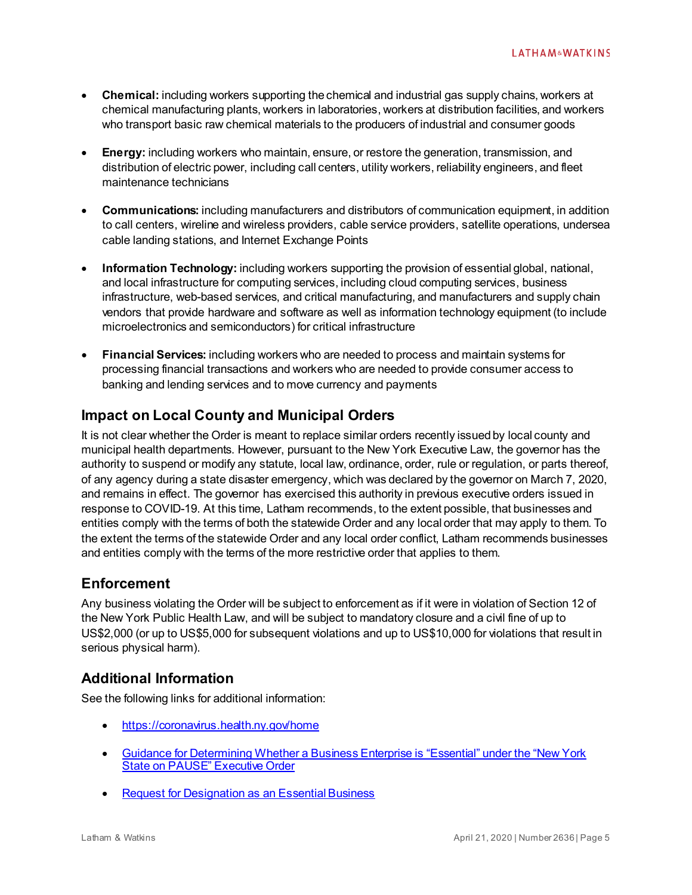- **Chemical:** including workers supporting the chemical and industrial gas supply chains, workers at chemical manufacturing plants, workers in laboratories, workers at distribution facilities, and workers who transport basic raw chemical materials to the producers of industrial and consumer goods
- **Energy:** including workers who maintain, ensure, or restore the generation, transmission, and distribution of electric power, including call centers, utility workers, reliability engineers, and fleet maintenance technicians
- **Communications:** including manufacturers and distributors of communication equipment, in addition to call centers, wireline and wireless providers, cable service providers, satellite operations, undersea cable landing stations, and Internet Exchange Points
- **Information Technology:** including workers supporting the provision of essential global, national, and local infrastructure for computing services, including cloud computing services, business infrastructure, web-based services, and critical manufacturing, and manufacturers and supply chain vendors that provide hardware and software as well as information technology equipment (to include microelectronics and semiconductors) for critical infrastructure
- **Financial Services:** including workers who are needed to process and maintain systems for processing financial transactions and workers who are needed to provide consumer access to banking and lending services and to move currency and payments

# **Impact on Local County and Municipal Orders**

It is not clear whether the Order is meant to replace similar orders recently issued by local county and municipal health departments. However, pursuant to the New York Executive Law, the governor has the authority to suspend or modify any statute, local law, ordinance, order, rule or regulation, or parts thereof, of any agency during a state disaster emergency, which was declared by the governor on March 7, 2020, and remains in effect. The governor has exercised this authority in previous executive orders issued in response to COVID-19. At this time, Latham recommends, to the extent possible, that businesses and entities comply with the terms of both the statewide Order and any local order that may apply to them. To the extent the terms of the statewide Order and any local order conflict, Latham recommends businesses and entities comply with the terms of the more restrictive order that applies to them.

## **Enforcement**

Any business violating the Order will be subject to enforcement as if it were in violation of Section 12 of the New York Public Health Law, and will be subject to mandatory closure and a civil fine of up to US\$2,000 (or up to US\$5,000 for subsequent violations and up to US\$10,000 for violations that result in serious physical harm).

# **Additional Information**

See the following links for additional information:

- <https://coronavirus.health.ny.gov/home>
- [Guidance for Determining Whether a Business Enterprise is "Essential" under the "New York](https://www.governor.ny.gov/news/governor-cuomo-issues-guidance-essential-services-under-new-york-state-pause-executive-order)  State [on PAUSE" Executive Order](https://www.governor.ny.gov/news/governor-cuomo-issues-guidance-essential-services-under-new-york-state-pause-executive-order)
- [Request for Designation as an Essential Business](https://esd.ny.gov/sites/default/files/Request%20for%20Designation%20Form_0.pdf)